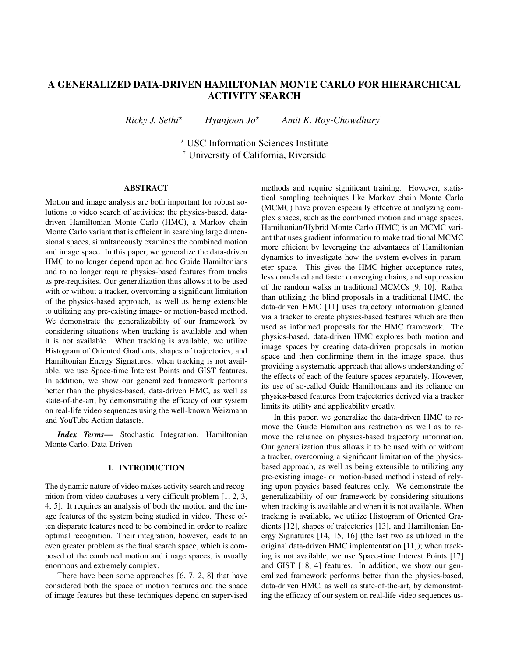# A GENERALIZED DATA-DRIVEN HAMILTONIAN MONTE CARLO FOR HIERARCHICAL ACTIVITY SEARCH

*Ricky J. Sethi*? *Hyunjoon Jo*? *Amit K. Roy-Chowdhury*†

? USC Information Sciences Institute † University of California, Riverside

## **ABSTRACT**

Motion and image analysis are both important for robust solutions to video search of activities; the physics-based, datadriven Hamiltonian Monte Carlo (HMC), a Markov chain Monte Carlo variant that is efficient in searching large dimensional spaces, simultaneously examines the combined motion and image space. In this paper, we generalize the data-driven HMC to no longer depend upon ad hoc Guide Hamiltonians and to no longer require physics-based features from tracks as pre-requisites. Our generalization thus allows it to be used with or without a tracker, overcoming a significant limitation of the physics-based approach, as well as being extensible to utilizing any pre-existing image- or motion-based method. We demonstrate the generalizability of our framework by considering situations when tracking is available and when it is not available. When tracking is available, we utilize Histogram of Oriented Gradients, shapes of trajectories, and Hamiltonian Energy Signatures; when tracking is not available, we use Space-time Interest Points and GIST features. In addition, we show our generalized framework performs better than the physics-based, data-driven HMC, as well as state-of-the-art, by demonstrating the efficacy of our system on real-life video sequences using the well-known Weizmann and YouTube Action datasets.

*Index Terms*— Stochastic Integration, Hamiltonian Monte Carlo, Data-Driven

## 1. INTRODUCTION

The dynamic nature of video makes activity search and recognition from video databases a very difficult problem [1, 2, 3, 4, 5]. It requires an analysis of both the motion and the image features of the system being studied in video. These often disparate features need to be combined in order to realize optimal recognition. Their integration, however, leads to an even greater problem as the final search space, which is composed of the combined motion and image spaces, is usually enormous and extremely complex.

There have been some approaches [6, 7, 2, 8] that have considered both the space of motion features and the space of image features but these techniques depend on supervised methods and require significant training. However, statistical sampling techniques like Markov chain Monte Carlo (MCMC) have proven especially effective at analyzing complex spaces, such as the combined motion and image spaces. Hamiltonian/Hybrid Monte Carlo (HMC) is an MCMC variant that uses gradient information to make traditional MCMC more efficient by leveraging the advantages of Hamiltonian dynamics to investigate how the system evolves in parameter space. This gives the HMC higher acceptance rates, less correlated and faster converging chains, and suppression of the random walks in traditional MCMCs [9, 10]. Rather than utilizing the blind proposals in a traditional HMC, the data-driven HMC [11] uses trajectory information gleaned via a tracker to create physics-based features which are then used as informed proposals for the HMC framework. The physics-based, data-driven HMC explores both motion and image spaces by creating data-driven proposals in motion space and then confirming them in the image space, thus providing a systematic approach that allows understanding of the effects of each of the feature spaces separately. However, its use of so-called Guide Hamiltonians and its reliance on physics-based features from trajectories derived via a tracker limits its utility and applicability greatly.

In this paper, we generalize the data-driven HMC to remove the Guide Hamiltonians restriction as well as to remove the reliance on physics-based trajectory information. Our generalization thus allows it to be used with or without a tracker, overcoming a significant limitation of the physicsbased approach, as well as being extensible to utilizing any pre-existing image- or motion-based method instead of relying upon physics-based features only. We demonstrate the generalizability of our framework by considering situations when tracking is available and when it is not available. When tracking is available, we utilize Histogram of Oriented Gradients [12], shapes of trajectories [13], and Hamiltonian Energy Signatures [14, 15, 16] (the last two as utilized in the original data-driven HMC implementation [11]); when tracking is not available, we use Space-time Interest Points [17] and GIST [18, 4] features. In addition, we show our generalized framework performs better than the physics-based, data-driven HMC, as well as state-of-the-art, by demonstrating the efficacy of our system on real-life video sequences us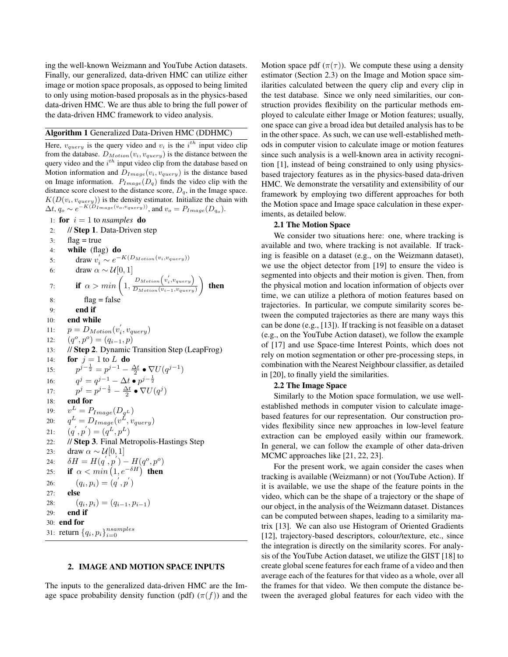ing the well-known Weizmann and YouTube Action datasets. Finally, our generalized, data-driven HMC can utilize either image or motion space proposals, as opposed to being limited to only using motion-based proposals as in the physics-based data-driven HMC. We are thus able to bring the full power of the data-driven HMC framework to video analysis.

## Algorithm 1 Generalized Data-Driven HMC (DDHMC)

Here,  $v_{query}$  is the query video and  $v_i$  is the  $i^{th}$  input video clip from the database.  $D_{Motion}(v_i, v_{query})$  is the distance between the query video and the  $i^{th}$  input video clip from the database based on Motion information and  $D_{Image}(v_i, v_{query})$  is the distance based on Image information.  $P_{Image}(D_q)$  finds the video clip with the distance score closest to the distance score,  $D_q$ , in the Image space.  $K(D(v_i, v_{query}))$  is the density estimator. Initialize the chain with  $\Delta t, q_o \sim e^{-K(D_{Image}(v_o, v_{query}))},$  and  $v_o = P_{Image}(D_{q_o}).$ 

1: **for** 
$$
i = 1
$$
 to *nsamples* **do**  
\n2: // **Step 1**. Data-Dirven step  
\n3: flag = true  
\n4: **while** (flag) **do**  
\n5: draw  $v_i' \sim e^{-K(D_{Motion}(v_i, v_{query}))}$   
\n6: draw  $\alpha \sim U[0, 1]$   
\n7: **if**  $\alpha > min\left(1, \frac{D_{Motion}(v_i', v_{query})}{D_{Motion}(v_{i-1}, v_{query})}\right)$  then  
\n8: flag = false  
\n9: **end if**  
\n10: **end while**  
\n11:  $p = D_{Motion}(v_i', v_{query})$   
\n12:  $(q^o, p^o) = (q_{i-1}, p)$   
\n13: // **Step 2**. Dynamic Transition Step (LeapFrog)  
\n14: **for**  $j = 1$  to L **do**  
\n15:  $p^j - \frac{1}{2} = p^{j-1} - \frac{\Delta t}{2} \cdot \nabla U(q^{j-1})$   
\n16:  $q^j = q^{j-1} - \Delta t \cdot p^{j-\frac{1}{2}}$   
\n17:  $p^j = p^{j-\frac{1}{2}} - \frac{\Delta t}{2} \cdot \nabla U(q^j)$   
\n18: **end for**  
\n19:  $v^L = P_{Image}(D_qL)$   
\n20:  $q^L = D_{Image}(v^L, v_{query})$   
\n21:  $(q^{'}, p^{'}) = (q^L, p^L)$   
\n22: // **Step 3**. Final Metropolis-Hastings Step  
\n23: draw  $\alpha \sim U[0, 1]$   
\n24:  $\delta H = H(q^{'}, p^{'}) - H(q^o, p^o)$   
\n25: **if**  $\alpha < min(1, e^{-\delta H})$  **then**  
\n26:  $(q_i, p_i) = (q^{'}, p^{'})$   
\n27: **else**  
\n28:  $(q_i, p_i) = (q_{i-1}, p_{i-1})$   
\n29: **end for**<

#### 2. IMAGE AND MOTION SPACE INPUTS

The inputs to the generalized data-driven HMC are the Image space probability density function (pdf)  $(\pi(f))$  and the Motion space pdf  $(\pi(\tau))$ . We compute these using a density estimator (Section 2.3) on the Image and Motion space similarities calculated between the query clip and every clip in the test database. Since we only need similarities, our construction provides flexibility on the particular methods employed to calculate either Image or Motion features; usually, one space can give a broad idea but detailed analysis has to be in the other space. As such, we can use well-established methods in computer vision to calculate image or motion features since such analysis is a well-known area in activity recognition [1], instead of being constrained to only using physicsbased trajectory features as in the physics-based data-driven HMC. We demonstrate the versatility and extensibility of our framework by employing two different approaches for both the Motion space and Image space calculation in these experiments, as detailed below.

#### 2.1 The Motion Space

We consider two situations here: one, where tracking is available and two, where tracking is not available. If tracking is feasible on a dataset (e.g., on the Weizmann dataset), we use the object detector from [19] to ensure the video is segmented into objects and their motion is given. Then, from the physical motion and location information of objects over time, we can utilize a plethora of motion features based on trajectories. In particular, we compute similarity scores between the computed trajectories as there are many ways this can be done (e.g., [13]). If tracking is not feasible on a dataset (e.g., on the YouTube Action dataset), we follow the example of [17] and use Space-time Interest Points, which does not rely on motion segmentation or other pre-processing steps, in combination with the Nearest Neighbour classifier, as detailed in [20], to finally yield the similarities.

## 2.2 The Image Space

Similarly to the Motion space formulation, we use wellestablished methods in computer vision to calculate imagebased features for our representation. Our construction provides flexibility since new approaches in low-level feature extraction can be employed easily within our framework. In general, we can follow the example of other data-driven MCMC approaches like [21, 22, 23].

For the present work, we again consider the cases when tracking is available (Weizmann) or not (YouTube Action). If it is available, we use the shape of the feature points in the video, which can be the shape of a trajectory or the shape of our object, in the analysis of the Weizmann dataset. Distances can be computed between shapes, leading to a similarity matrix [13]. We can also use Histogram of Oriented Gradients [12], trajectory-based descriptors, colour/texture, etc., since the integration is directly on the similarity scores. For analysis of the YouTube Action dataset, we utilize the GIST [18] to create global scene features for each frame of a video and then average each of the features for that video as a whole, over all the frames for that video. We then compute the distance between the averaged global features for each video with the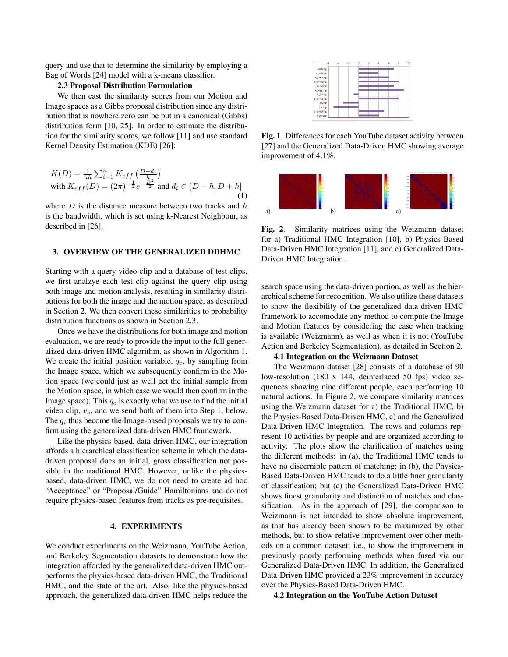query and use that to determine the similarity by employing a Bag of Words [24] model with a k-means classifier.

## 2.3 Proposal Distribution Formulation

We then cast the similarity scores from our Motion and Image spaces as a Gibbs proposal distribution since any distribution that is nowhere zero can be put in a canonical (Gibbs) distribution form [10, 25]. In order to estimate the distribution for the similarity scores, we follow [11] and use standard Kernel Density Estimation (KDE) [26]:

$$
K(D) = \frac{1}{nh} \sum_{i=1}^{n} K_{eff} \left( \frac{D - d_i}{h} \right)
$$
  
with  $K_{eff}(D) = (2\pi)^{-\frac{1}{2}} e^{-\frac{D^2}{2}}$  and  $d_i \in (D - h, D + h]$  (1)

where  $D$  is the distance measure between two tracks and  $h$ is the bandwidth, which is set using k-Nearest Neighbour, as described in [26].

### 3. OVERVIEW OF THE GENERALIZED DDHMC

Starting with a query video clip and a database of test clips, we first analzye each test clip against the query clip using both image and motion analysis, resulting in similarity distributions for both the image and the motion space, as described in Section 2. We then convert these similarities to probability distribution functions as shown in Section 2.3.

Once we have the distributions for both image and motion evaluation, we are ready to provide the input to the full generalized data-driven HMC algorithm, as shown in Algorithm 1. We create the initial position variable,  $q<sub>o</sub>$ , by sampling from the Image space, which we subsequently confirm in the Motion space (we could just as well get the initial sample from the Motion space, in which case we would then confirm in the Image space). This  $q<sub>o</sub>$  is exactly what we use to find the initial video clip,  $v<sub>o</sub>$ , and we send both of them into Step 1, below. The  $q_i$  thus become the Image-based proposals we try to confirm using the generalized data-driven HMC framework.

Like the physics-based, data-driven HMC, our integration affords a hierarchical classification scheme in which the datadriven proposal does an initial, gross classification not possible in the traditional HMC. However, unlike the physicsbased, data-driven HMC, we do not need to create ad hoc "Acceptance" or "Proposal/Guide" Hamiltonians and do not require physics-based features from tracks as pre-requisites.

#### 4. EXPERIMENTS

We conduct experiments on the Weizmann, YouTube Action, and Berkeley Segmentation datasets to demonstrate how the integration afforded by the generalized data-driven HMC outperforms the physics-based data-driven HMC, the Traditional HMC, and the state of the art. Also, like the physics-based approach, the generalized data-driven HMC helps reduce the



Fig. 1. Differences for each YouTube dataset activity between [27] and the Generalized Data-Driven HMC showing average improvement of 4.1%.



Fig. 2. Similarity matrices using the Weizmann dataset for a) Traditional HMC Integration [10], b) Physics-Based Data-Driven HMC Integration [11], and c) Generalized Data-Driven HMC Integration.

search space using the data-driven portion, as well as the hierarchical scheme for recognition. We also utilize these datasets to show the flexibility of the generalized data-driven HMC framework to accomodate any method to compute the Image and Motion features by considering the case when tracking is available (Weizmann), as well as when it is not (YouTube Action and Berkeley Segmentation), as detailed in Section 2.

#### 4.1 Integration on the Weizmann Dataset

The Weizmann dataset [28] consists of a database of 90 low-resolution (180 x 144, deinterlaced 50 fps) video sequences showing nine different people, each performing 10 natural actions. In Figure 2, we compare similarity matrices using the Weizmann dataset for a) the Traditional HMC, b) the Physics-Based Data-Driven HMC, c) and the Generalized Data-Driven HMC Integration. The rows and columns represent 10 activities by people and are organized according to activity. The plots show the clarification of matches using the different methods: in (a), the Traditional HMC tends to have no discernible pattern of matching; in (b), the Physics-Based Data-Driven HMC tends to do a little finer granularity of classification; but (c) the Generalized Data-Driven HMC shows finest granularity and distinction of matches and classification. As in the approach of [29], the comparison to Weizmann is not intended to show absolute improvement, as that has already been shown to be maximized by other methods, but to show relative improvement over other methods on a common dataset; i.e., to show the improvement in previously poorly performing methods when fused via our Generalized Data-Driven HMC. In addition, the Generalized Data-Driven HMC provided a 23% improvement in accuracy over the Physics-Based Data-Driven HMC.

4.2 Integration on the YouTube Action Dataset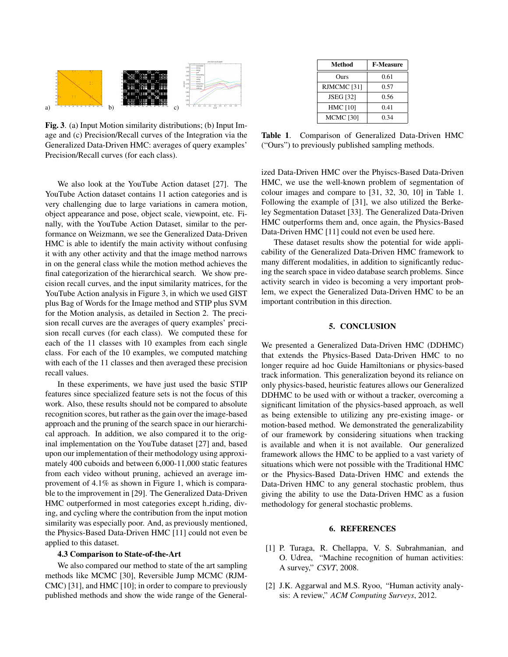

Fig. 3. (a) Input Motion similarity distributions; (b) Input Image and (c) Precision/Recall curves of the Integration via the Generalized Data-Driven HMC: averages of query examples' Precision/Recall curves (for each class).

We also look at the YouTube Action dataset [27]. The YouTube Action dataset contains 11 action categories and is very challenging due to large variations in camera motion, object appearance and pose, object scale, viewpoint, etc. Finally, with the YouTube Action Dataset, similar to the performance on Weizmann, we see the Generalized Data-Driven HMC is able to identify the main activity without confusing it with any other activity and that the image method narrows in on the general class while the motion method achieves the final categorization of the hierarchical search. We show precision recall curves, and the input similarity matrices, for the YouTube Action analysis in Figure 3, in which we used GIST plus Bag of Words for the Image method and STIP plus SVM for the Motion analysis, as detailed in Section 2. The precision recall curves are the averages of query examples' precision recall curves (for each class). We computed these for each of the 11 classes with 10 examples from each single class. For each of the 10 examples, we computed matching with each of the 11 classes and then averaged these precision recall values.

In these experiments, we have just used the basic STIP features since specialized feature sets is not the focus of this work. Also, these results should not be compared to absolute recognition scores, but rather as the gain over the image-based approach and the pruning of the search space in our hierarchical approach. In addition, we also compared it to the original implementation on the YouTube dataset [27] and, based upon our implementation of their methodology using approximately 400 cuboids and between 6,000-11,000 static features from each video without pruning, achieved an average improvement of 4.1% as shown in Figure 1, which is comparable to the improvement in [29]. The Generalized Data-Driven HMC outperformed in most categories except h\_riding, diving, and cycling where the contribution from the input motion similarity was especially poor. And, as previously mentioned, the Physics-Based Data-Driven HMC [11] could not even be applied to this dataset.

## 4.3 Comparison to State-of-the-Art

We also compared our method to state of the art sampling methods like MCMC [30], Reversible Jump MCMC (RJM-CMC) [31], and HMC [10]; in order to compare to previously published methods and show the wide range of the General-

| <b>Method</b>          | <b>F-Measure</b> |
|------------------------|------------------|
| Ours                   | 0.61             |
| RJMCMC <sup>[31]</sup> | 0.57             |
| <b>JSEG</b> [32]       | 0.56             |
| <b>HMC</b> [10]        | 0.41             |
| <b>MCMC</b> [30]       | 0.34             |

Table 1. Comparison of Generalized Data-Driven HMC ("Ours") to previously published sampling methods.

ized Data-Driven HMC over the Phyiscs-Based Data-Driven HMC, we use the well-known problem of segmentation of colour images and compare to [31, 32, 30, 10] in Table 1. Following the example of [31], we also utilized the Berkeley Segmentation Dataset [33]. The Generalized Data-Driven HMC outperforms them and, once again, the Physics-Based Data-Driven HMC [11] could not even be used here.

These dataset results show the potential for wide applicability of the Generalized Data-Driven HMC framework to many different modalities, in addition to significantly reducing the search space in video database search problems. Since activity search in video is becoming a very important problem, we expect the Generalized Data-Driven HMC to be an important contribution in this direction.

## 5. CONCLUSION

We presented a Generalized Data-Driven HMC (DDHMC) that extends the Physics-Based Data-Driven HMC to no longer require ad hoc Guide Hamiltonians or physics-based track information. This generalization beyond its reliance on only physics-based, heuristic features allows our Generalized DDHMC to be used with or without a tracker, overcoming a significant limitation of the physics-based approach, as well as being extensible to utilizing any pre-existing image- or motion-based method. We demonstrated the generalizability of our framework by considering situations when tracking is available and when it is not available. Our generalized framework allows the HMC to be applied to a vast variety of situations which were not possible with the Traditional HMC or the Physics-Based Data-Driven HMC and extends the Data-Driven HMC to any general stochastic problem, thus giving the ability to use the Data-Driven HMC as a fusion methodology for general stochastic problems.

### 6. REFERENCES

- [1] P. Turaga, R. Chellappa, V. S. Subrahmanian, and O. Udrea, "Machine recognition of human activities: A survey," *CSVT*, 2008.
- [2] J.K. Aggarwal and M.S. Ryoo, "Human activity analysis: A review," *ACM Computing Surveys*, 2012.